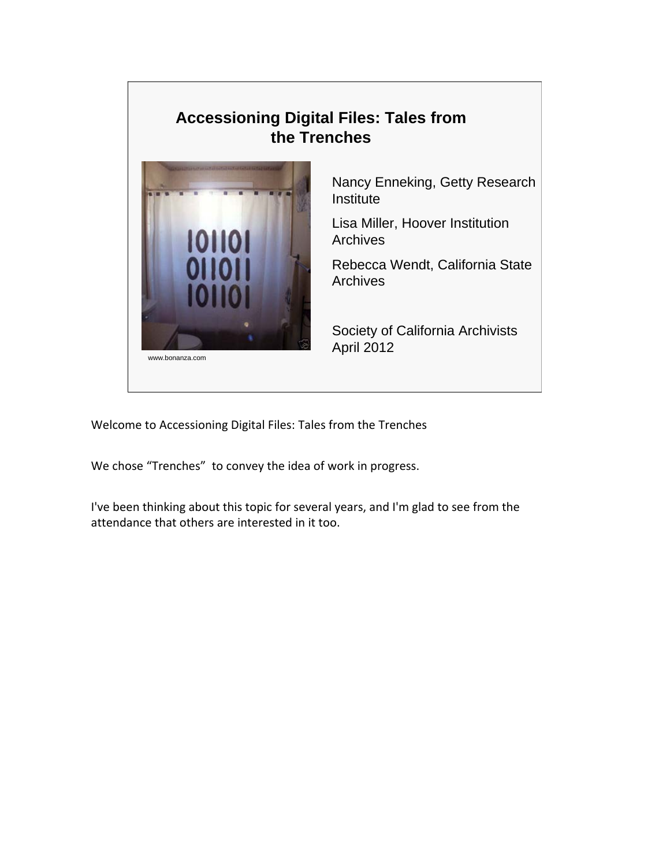## **Accessioning Digital Files: Tales from the Trenches**



Nancy Enneking, Getty Research **Institute** 

Lisa Miller, Hoover Institution **Archives** 

Rebecca Wendt, California State **Archives** 

Society of California Archivists April 2012

Welcome to Accessioning Digital Files: Tales from the Trenches

We chose "Trenches" to convey the idea of work in progress.

I've been thinking about this topic for several years, and I'm glad to see from the attendance that others are interested in it too.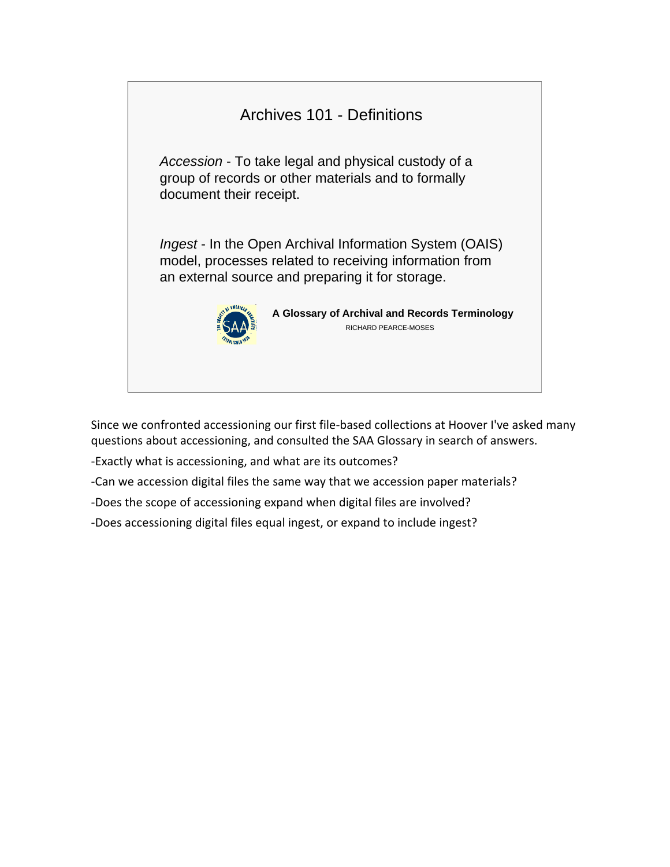

Since we confronted accessioning our first file‐based collections at Hoover I've asked many questions about accessioning, and consulted the SAA Glossary in search of answers.

‐Exactly what is accessioning, and what are its outcomes?

‐Can we accession digital files the same way that we accession paper materials?

‐Does the scope of accessioning expand when digital files are involved?

‐Does accessioning digital files equal ingest, or expand to include ingest?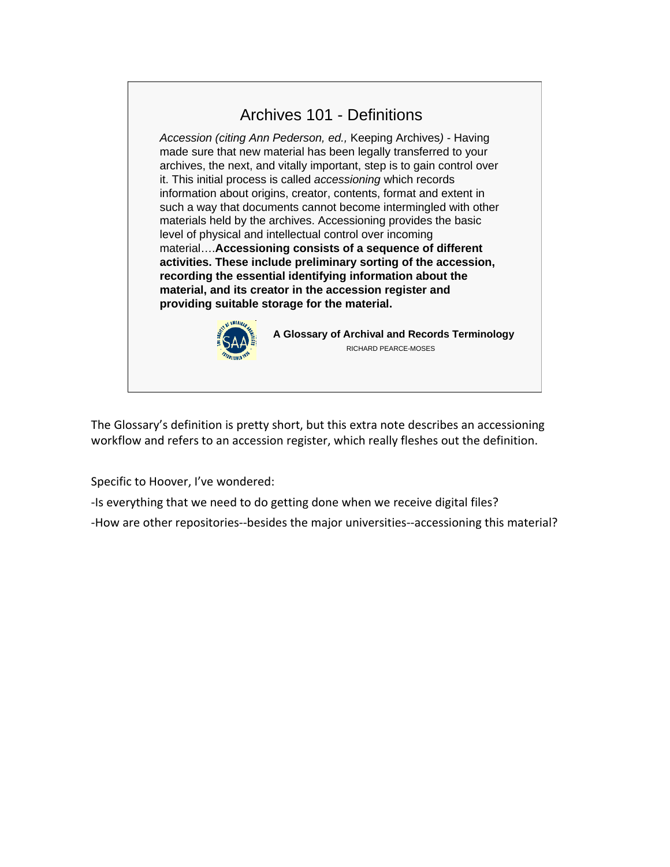

The Glossary's definition is pretty short, but this extra note describes an accessioning workflow and refers to an accession register, which really fleshes out the definition.

Specific to Hoover, I've wondered:

‐Is everything that we need to do getting done when we receive digital files?

‐How are other repositories‐‐besides the major universities‐‐accessioning this material?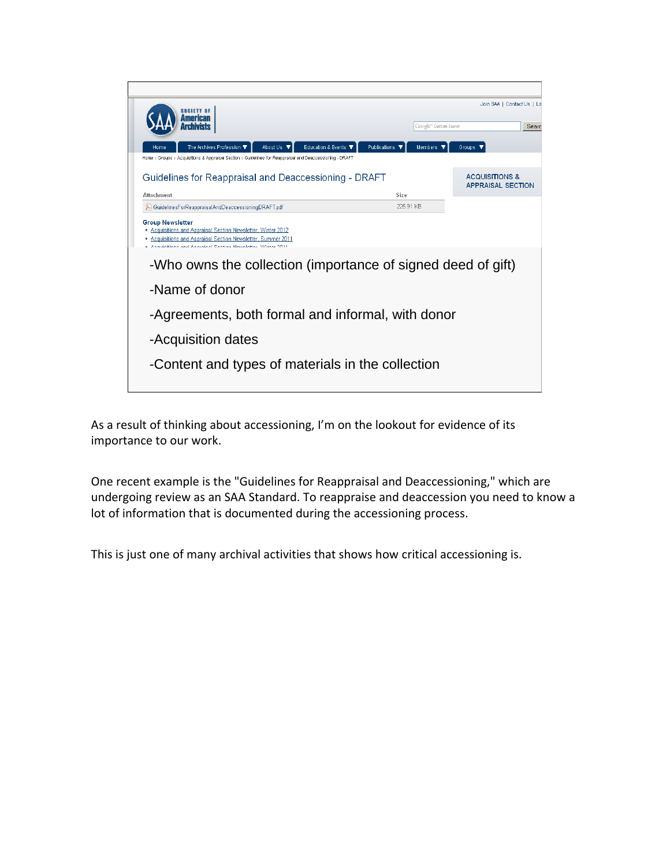

As a result of thinking about accessioning, I'm on the lookout for evidence of its importance to our work.

One recent example is the "Guidelines for Reappraisal and Deaccessioning," which are undergoing review as an SAA Standard. To reappraise and deaccession you need to know a lot of information that is documented during the accessioning process.

This is just one of many archival activities that shows how critical accessioning is.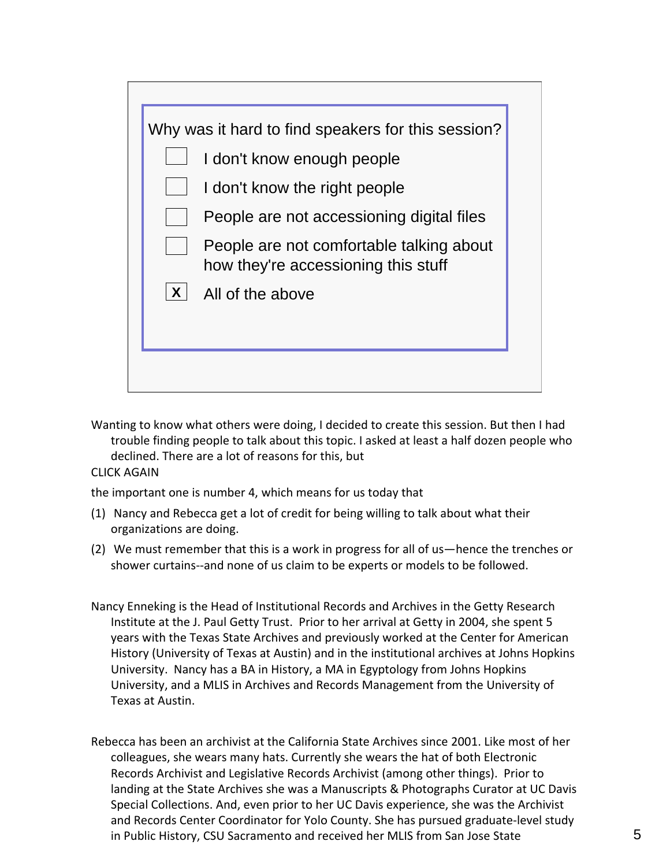| I don't know the right people<br>People are not accessioning digital files<br>People are not comfortable talking about<br>how they're accessioning this stuff<br>$\boldsymbol{X}$<br>All of the above | Why was it hard to find speakers for this session?<br>I don't know enough people |
|-------------------------------------------------------------------------------------------------------------------------------------------------------------------------------------------------------|----------------------------------------------------------------------------------|
|                                                                                                                                                                                                       |                                                                                  |
|                                                                                                                                                                                                       |                                                                                  |
|                                                                                                                                                                                                       |                                                                                  |
|                                                                                                                                                                                                       |                                                                                  |

- Wanting to know what others were doing, I decided to create this session. But then I had trouble finding people to talk about this topic. I asked at least a half dozen people who declined. There are a lot of reasons for this, but
- CLICK AGAIN

the important one is number 4, which means for us today that

- (1) Nancy and Rebecca get a lot of credit for being willing to talk about what their organizations are doing.
- (2) We must remember that this is a work in progress for all of us—hence the trenches or shower curtains‐‐and none of us claim to be experts or models to be followed.
- Nancy Enneking is the Head of Institutional Records and Archives in the Getty Research Institute at the J. Paul Getty Trust. Prior to her arrival at Getty in 2004, she spent 5 years with the Texas State Archives and previously worked at the Center for American History (University of Texas at Austin) and in the institutional archives at Johns Hopkins University. Nancy has a BA in History, a MA in Egyptology from Johns Hopkins University, and a MLIS in Archives and Records Management from the University of Texas at Austin.
- Rebecca has been an archivist at the California State Archives since 2001. Like most of her colleagues, she wears many hats. Currently she wears the hat of both Electronic Records Archivist and Legislative Records Archivist (among other things). Prior to landing at the State Archives she was a Manuscripts & Photographs Curator at UC Davis Special Collections. And, even prior to her UC Davis experience, she was the Archivist and Records Center Coordinator for Yolo County. She has pursued graduate‐level study in Public History, CSU Sacramento and received her MLIS from San Jose State 5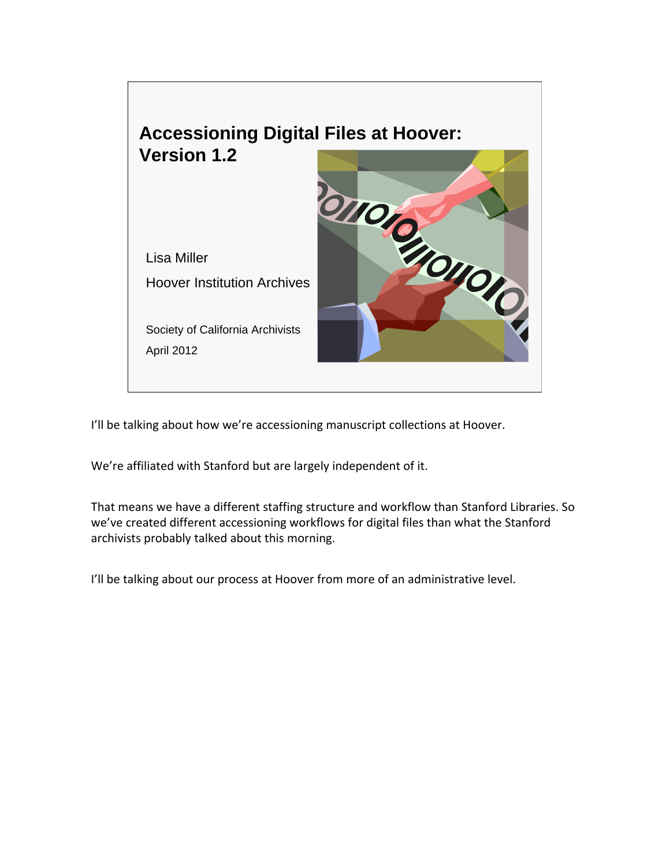

I'll be talking about how we're accessioning manuscript collections at Hoover.

We're affiliated with Stanford but are largely independent of it.

That means we have a different staffing structure and workflow than Stanford Libraries. So we've created different accessioning workflows for digital files than what the Stanford archivists probably talked about this morning.

I'll be talking about our process at Hoover from more of an administrative level.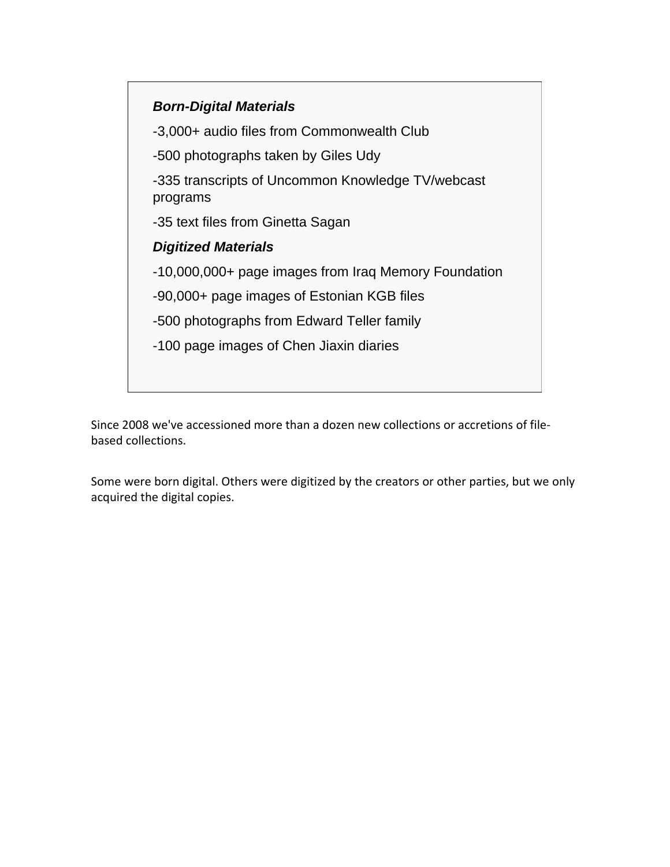## *Born-Digital Materials*

-3,000+ audio files from Commonwealth Club

-500 photographs taken by Giles Udy

-335 transcripts of Uncommon Knowledge TV/webcast programs

-35 text files from Ginetta Sagan

## *Digitized Materials*

-10,000,000+ page images from Iraq Memory Foundation

-90,000+ page images of Estonian KGB files

-500 photographs from Edward Teller family

-100 page images of Chen Jiaxin diaries

Since 2008 we've accessioned more than a dozen new collections or accretions of file‐ based collections.

Some were born digital. Others were digitized by the creators or other parties, but we only acquired the digital copies.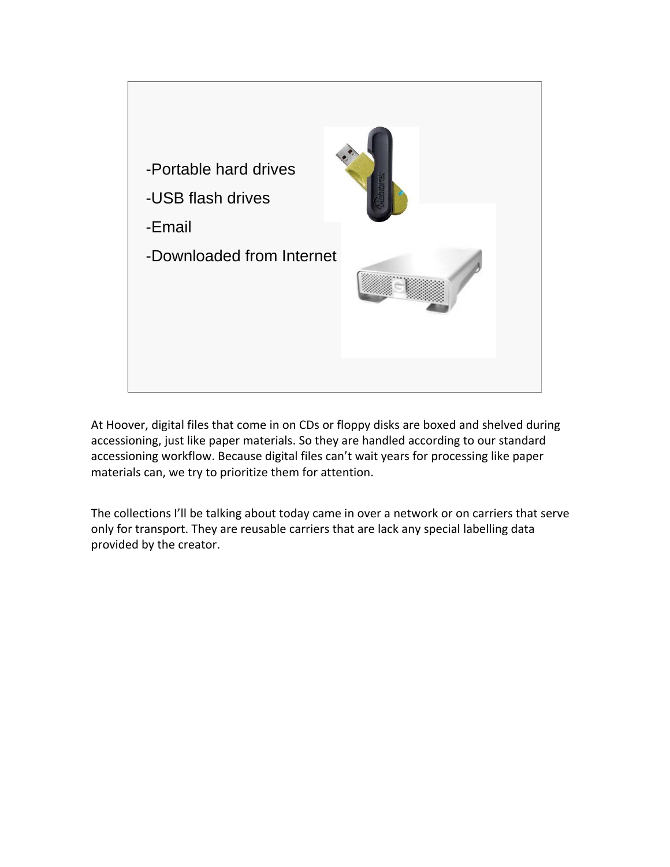

At Hoover, digital files that come in on CDs or floppy disks are boxed and shelved during accessioning, just like paper materials. So they are handled according to our standard accessioning workflow. Because digital files can't wait years for processing like paper materials can, we try to prioritize them for attention.

The collections I'll be talking about today came in over a network or on carriers that serve only for transport. They are reusable carriers that are lack any special labelling data provided by the creator.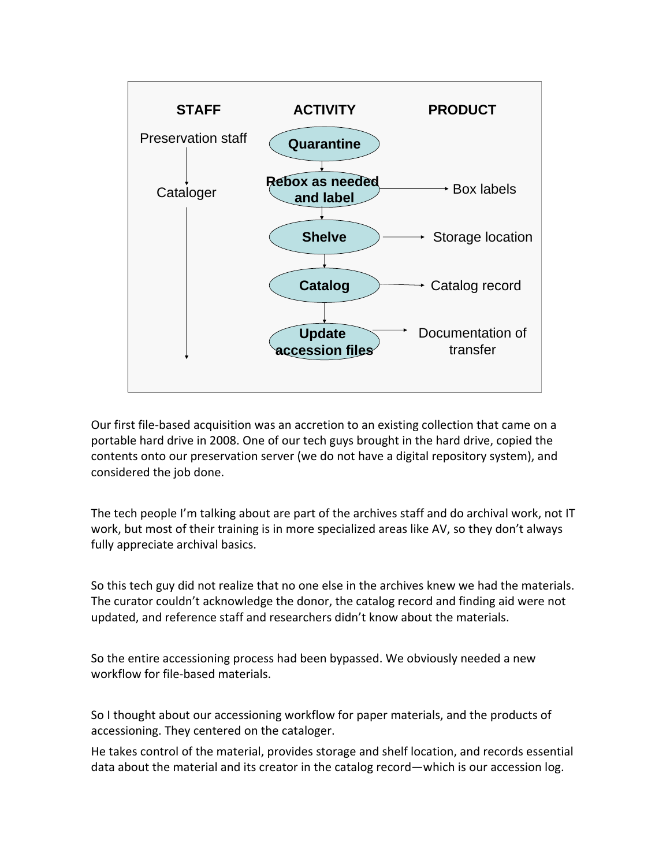

Our first file‐based acquisition was an accretion to an existing collection that came on a portable hard drive in 2008. One of our tech guys brought in the hard drive, copied the contents onto our preservation server (we do not have a digital repository system), and considered the job done.

The tech people I'm talking about are part of the archives staff and do archival work, not IT work, but most of their training is in more specialized areas like AV, so they don't always fully appreciate archival basics.

So this tech guy did not realize that no one else in the archives knew we had the materials. The curator couldn't acknowledge the donor, the catalog record and finding aid were not updated, and reference staff and researchers didn't know about the materials.

So the entire accessioning process had been bypassed. We obviously needed a new workflow for file‐based materials.

So I thought about our accessioning workflow for paper materials, and the products of accessioning. They centered on the cataloger.

He takes control of the material, provides storage and shelf location, and records essential data about the material and its creator in the catalog record—which is our accession log.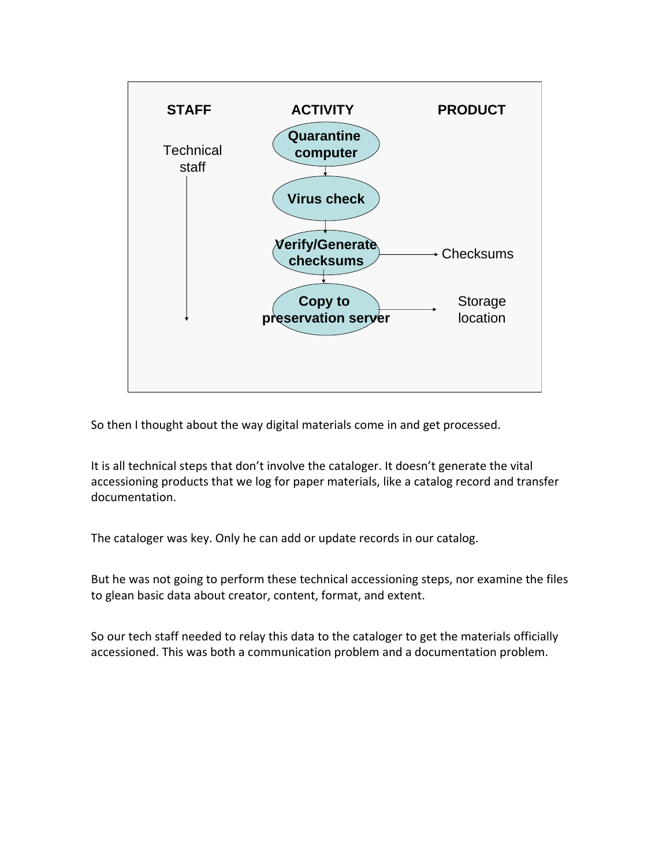

So then I thought about the way digital materials come in and get processed.

It is all technical steps that don't involve the cataloger. It doesn't generate the vital accessioning products that we log for paper materials, like a catalog record and transfer documentation.

The cataloger was key. Only he can add or update records in our catalog.

But he was not going to perform these technical accessioning steps, nor examine the files to glean basic data about creator, content, format, and extent.

So our tech staff needed to relay this data to the cataloger to get the materials officially accessioned. This was both a communication problem and a documentation problem.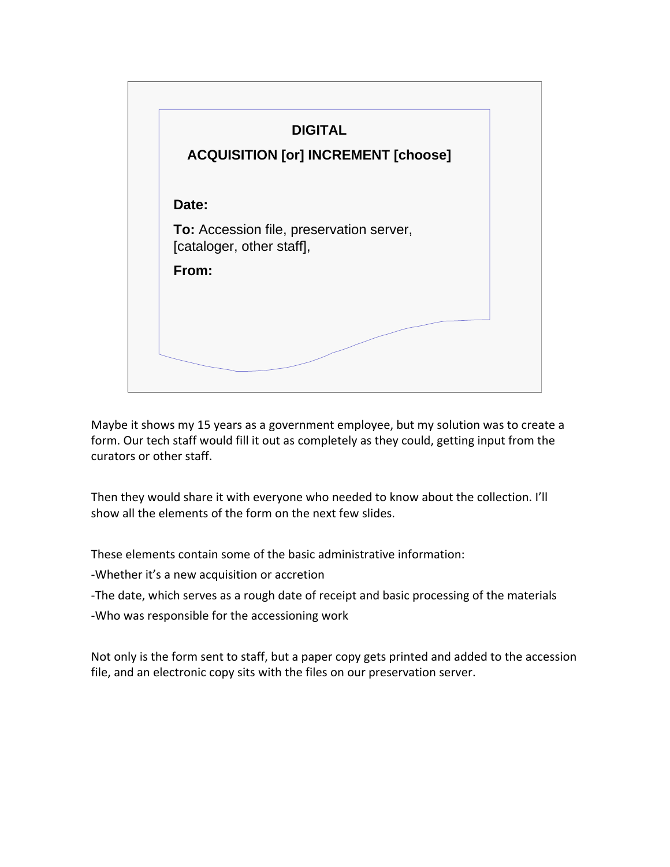

Maybe it shows my 15 years as a government employee, but my solution was to create a form. Our tech staff would fill it out as completely as they could, getting input from the curators or other staff.

Then they would share it with everyone who needed to know about the collection. I'll show all the elements of the form on the next few slides.

These elements contain some of the basic administrative information:

‐Whether it's a new acquisition or accretion

‐The date, which serves as a rough date of receipt and basic processing of the materials

‐Who was responsible for the accessioning work

Not only is the form sent to staff, but a paper copy gets printed and added to the accession file, and an electronic copy sits with the files on our preservation server.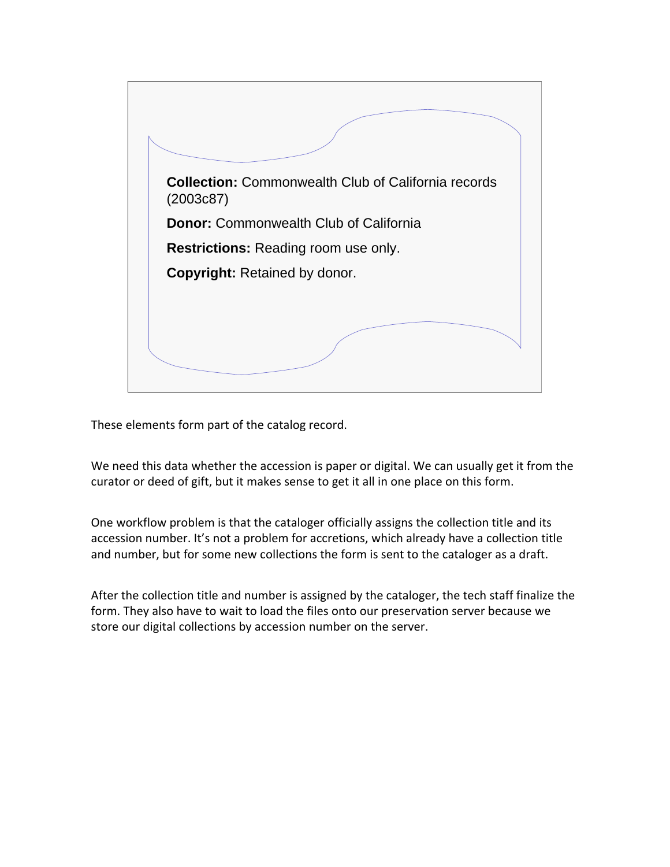

These elements form part of the catalog record.

We need this data whether the accession is paper or digital. We can usually get it from the curator or deed of gift, but it makes sense to get it all in one place on this form.

One workflow problem is that the cataloger officially assigns the collection title and its accession number. It's not a problem for accretions, which already have a collection title and number, but for some new collections the form is sent to the cataloger as a draft.

After the collection title and number is assigned by the cataloger, the tech staff finalize the form. They also have to wait to load the files onto our preservation server because we store our digital collections by accession number on the server.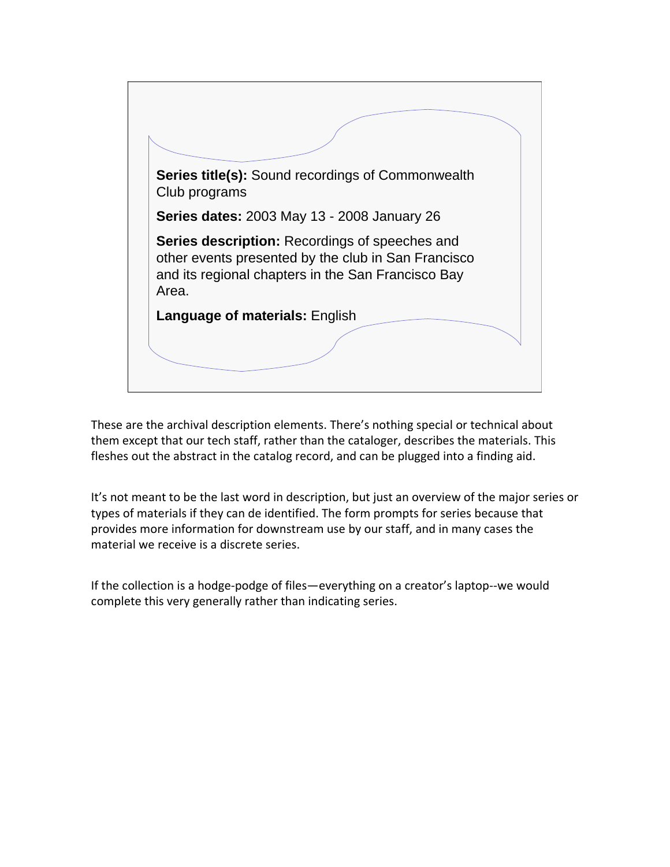

These are the archival description elements. There's nothing special or technical about them except that our tech staff, rather than the cataloger, describes the materials. This fleshes out the abstract in the catalog record, and can be plugged into a finding aid.

It's not meant to be the last word in description, but just an overview of the major series or types of materials if they can de identified. The form prompts for series because that provides more information for downstream use by our staff, and in many cases the material we receive is a discrete series.

If the collection is a hodge-podge of files—everything on a creator's laptop--we would complete this very generally rather than indicating series.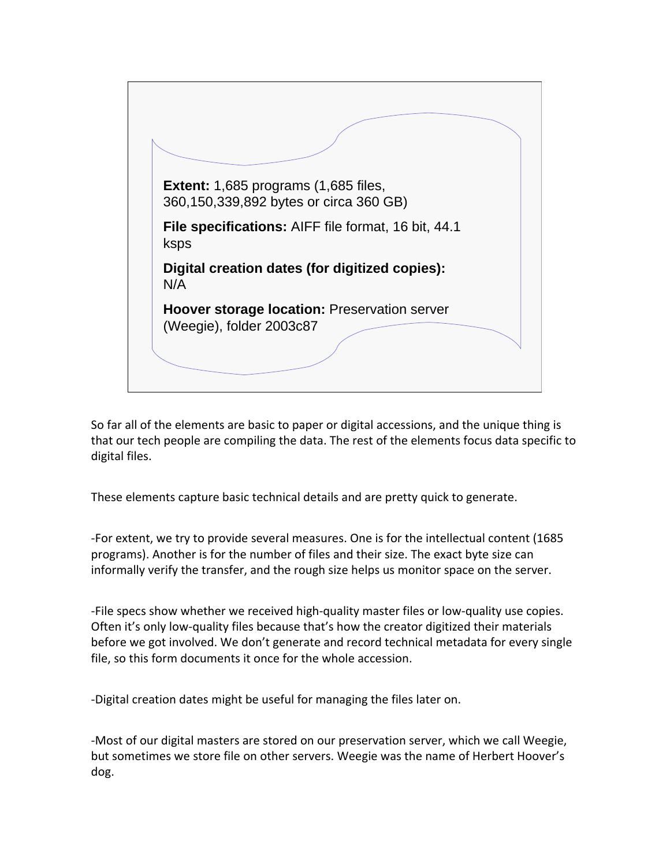

So far all of the elements are basic to paper or digital accessions, and the unique thing is that our tech people are compiling the data. The rest of the elements focus data specific to digital files.

These elements capture basic technical details and are pretty quick to generate.

‐For extent, we try to provide several measures. One is for the intellectual content (1685 programs). Another is for the number of files and their size. The exact byte size can informally verify the transfer, and the rough size helps us monitor space on the server.

‐File specs show whether we received high‐quality master files or low‐quality use copies. Often it's only low-quality files because that's how the creator digitized their materials before we got involved. We don't generate and record technical metadata for every single file, so this form documents it once for the whole accession.

‐Digital creation dates might be useful for managing the files later on.

‐Most of our digital masters are stored on our preservation server, which we call Weegie, but sometimes we store file on other servers. Weegie was the name of Herbert Hoover's dog.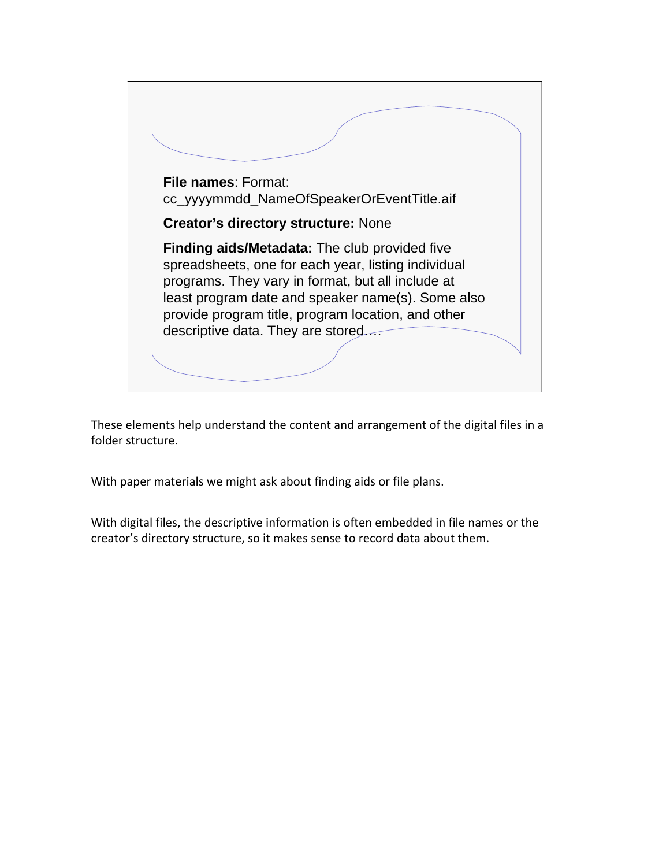

These elements help understand the content and arrangement of the digital files in a folder structure.

With paper materials we might ask about finding aids or file plans.

With digital files, the descriptive information is often embedded in file names or the creator's directory structure, so it makes sense to record data about them.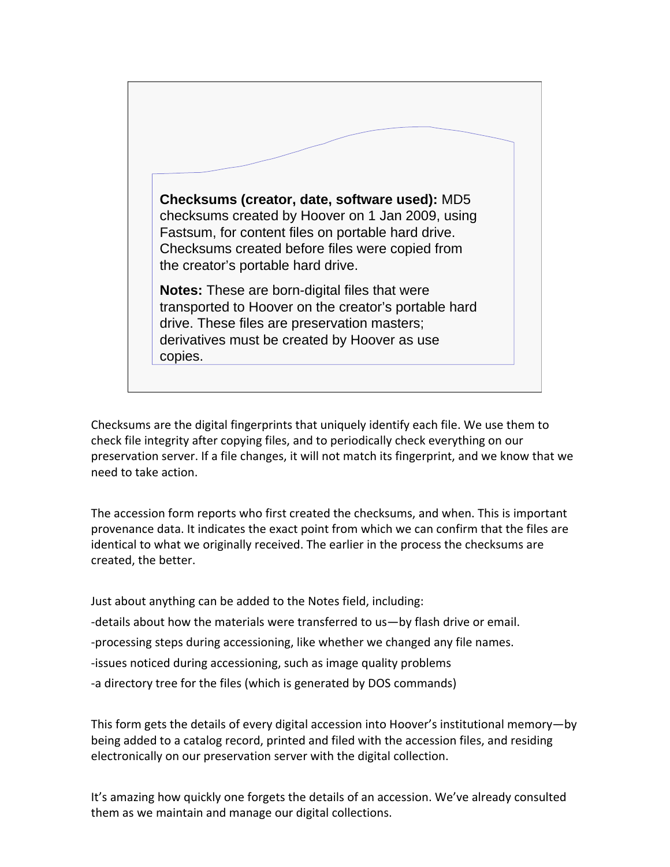

Checksums are the digital fingerprints that uniquely identify each file. We use them to check file integrity after copying files, and to periodically check everything on our preservation server. If a file changes, it will not match its fingerprint, and we know that we need to take action.

The accession form reports who first created the checksums, and when. This is important provenance data. It indicates the exact point from which we can confirm that the files are identical to what we originally received. The earlier in the process the checksums are created, the better.

Just about anything can be added to the Notes field, including:

‐details about how the materials were transferred to us—by flash drive or email.

‐processing steps during accessioning, like whether we changed any file names.

- ‐issues noticed during accessioning, such as image quality problems
- ‐a directory tree for the files (which is generated by DOS commands)

This form gets the details of every digital accession into Hoover's institutional memory—by being added to a catalog record, printed and filed with the accession files, and residing electronically on our preservation server with the digital collection.

It's amazing how quickly one forgets the details of an accession. We've already consulted them as we maintain and manage our digital collections.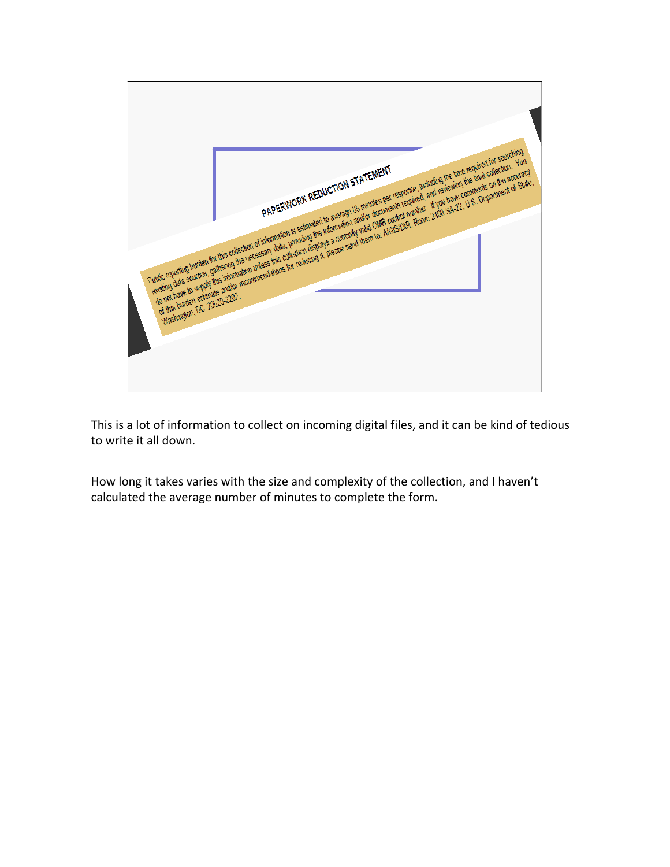

This is a lot of information to collect on incoming digital files, and it can be kind of tedious to write it all down.

How long it takes varies with the size and complexity of the collection, and I haven't calculated the average number of minutes to complete the form.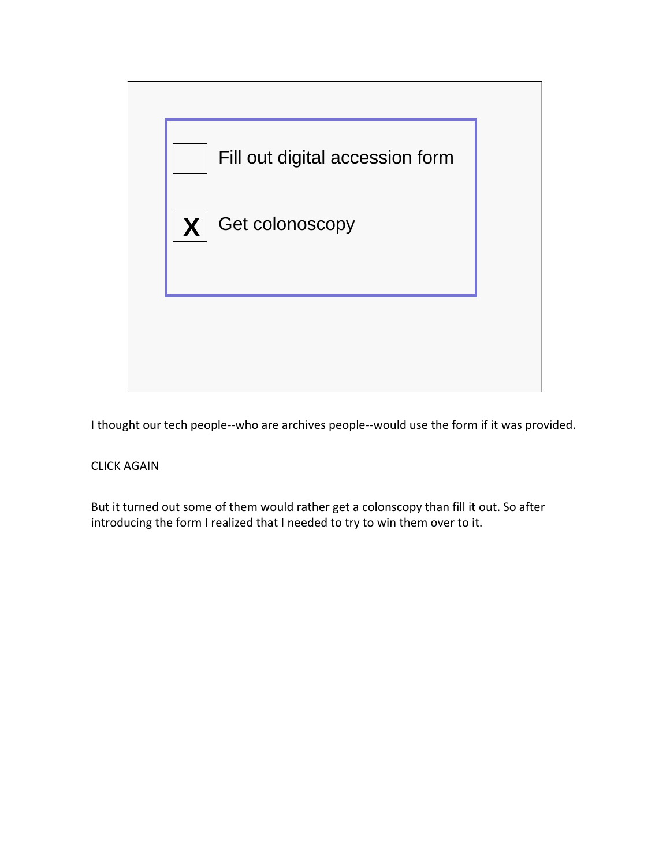

I thought our tech people‐‐who are archives people‐‐would use the form if it was provided.

## CLICK AGAIN

But it turned out some of them would rather get a colonscopy than fill it out. So after introducing the form I realized that I needed to try to win them over to it.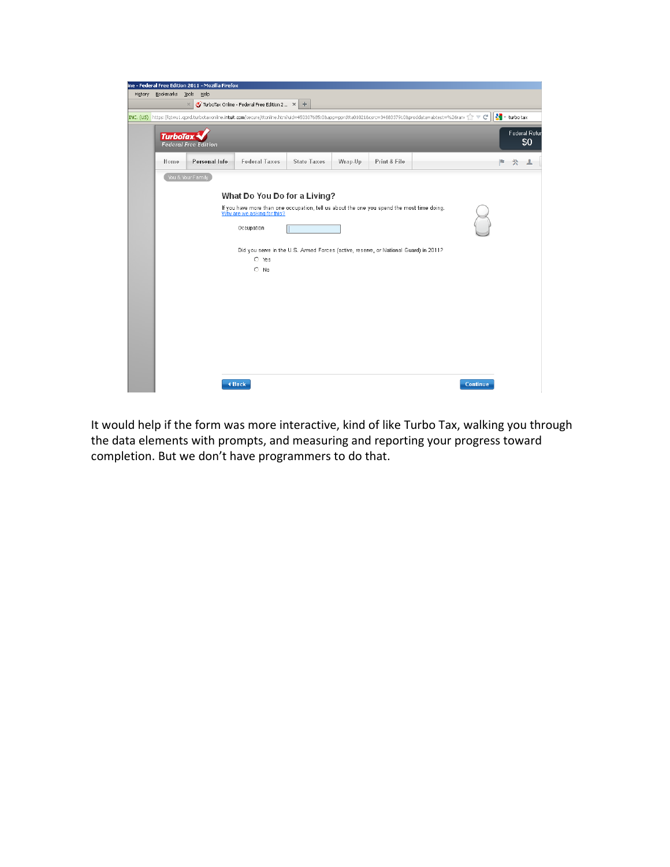

It would help if the form was more interactive, kind of like Turbo Tax, walking you through the data elements with prompts, and measuring and reporting your progress toward completion. But we don't have programmers to do that.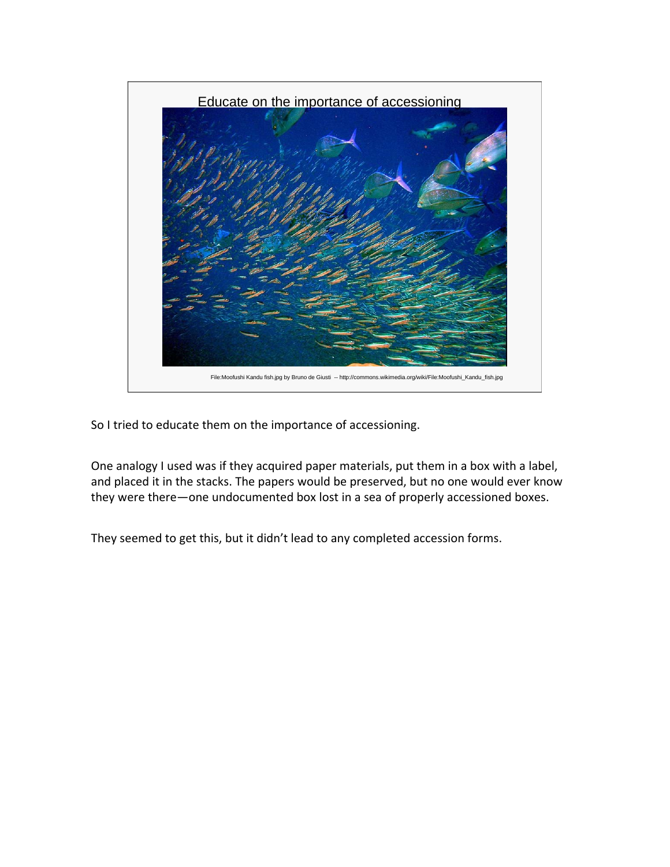

So I tried to educate them on the importance of accessioning.

One analogy I used was if they acquired paper materials, put them in a box with a label, and placed it in the stacks. The papers would be preserved, but no one would ever know they were there—one undocumented box lost in a sea of properly accessioned boxes.

They seemed to get this, but it didn't lead to any completed accession forms.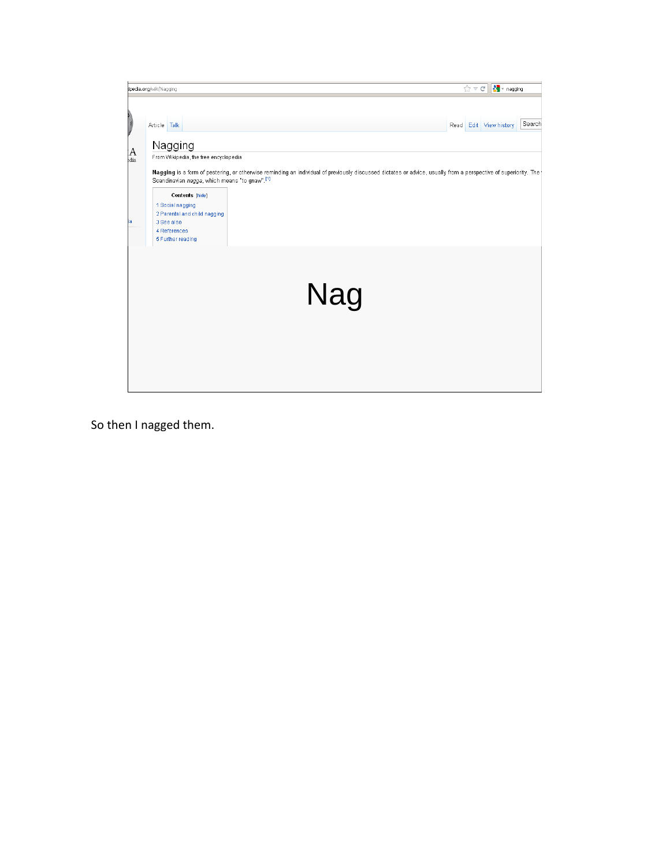

So then I nagged them.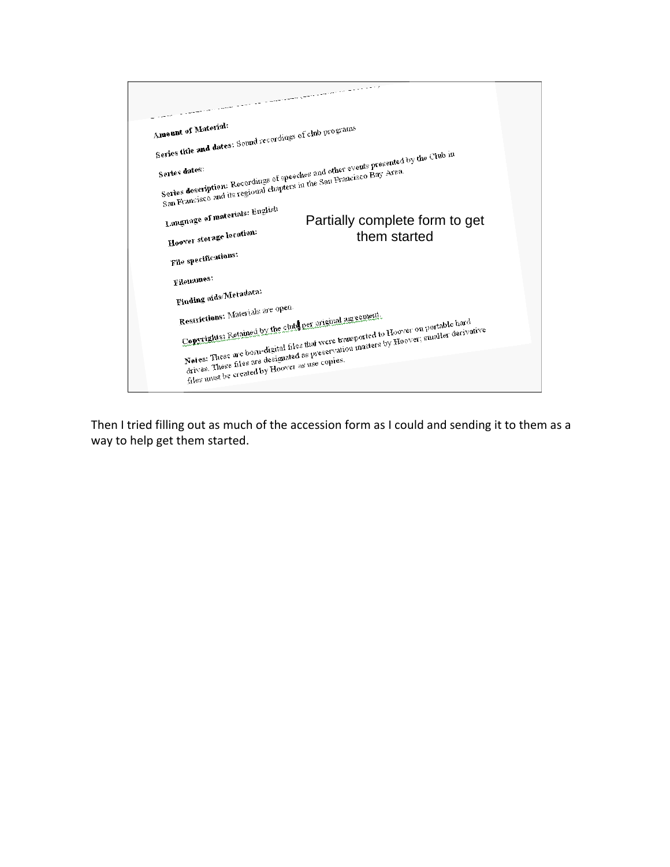| Amount of Material:                                                                     |                                                                                          |
|-----------------------------------------------------------------------------------------|------------------------------------------------------------------------------------------|
|                                                                                         |                                                                                          |
| Series title and dates: Sound recordings of club programs                               |                                                                                          |
|                                                                                         |                                                                                          |
| Series dates:<br>San Francisco and its regional chapters in the San Francisco Bay Area. | Series description: Recordings of speeches and other events presented by the Club in     |
|                                                                                         |                                                                                          |
|                                                                                         |                                                                                          |
|                                                                                         |                                                                                          |
| Language of materials: English                                                          | Partially complete form to get                                                           |
|                                                                                         |                                                                                          |
| Hoover storage location:                                                                | them started                                                                             |
|                                                                                         |                                                                                          |
| File specifications:                                                                    |                                                                                          |
| Filenames:                                                                              |                                                                                          |
|                                                                                         |                                                                                          |
| Finding aids/Metadata:                                                                  |                                                                                          |
| Restrictions: Materials are open.                                                       |                                                                                          |
| Copyrights: Retained by the clubs per original agreement.                               |                                                                                          |
|                                                                                         |                                                                                          |
|                                                                                         | Notes: These are born-digital files that were transported to Hoover on portable hard     |
|                                                                                         |                                                                                          |
|                                                                                         | drives. These files are designated as preservation masters by Hoover, smaller derivative |
| files must be created by Hoover as use copies.                                          |                                                                                          |
|                                                                                         |                                                                                          |

Then I tried filling out as much of the accession form as I could and sending it to them as a way to help get them started.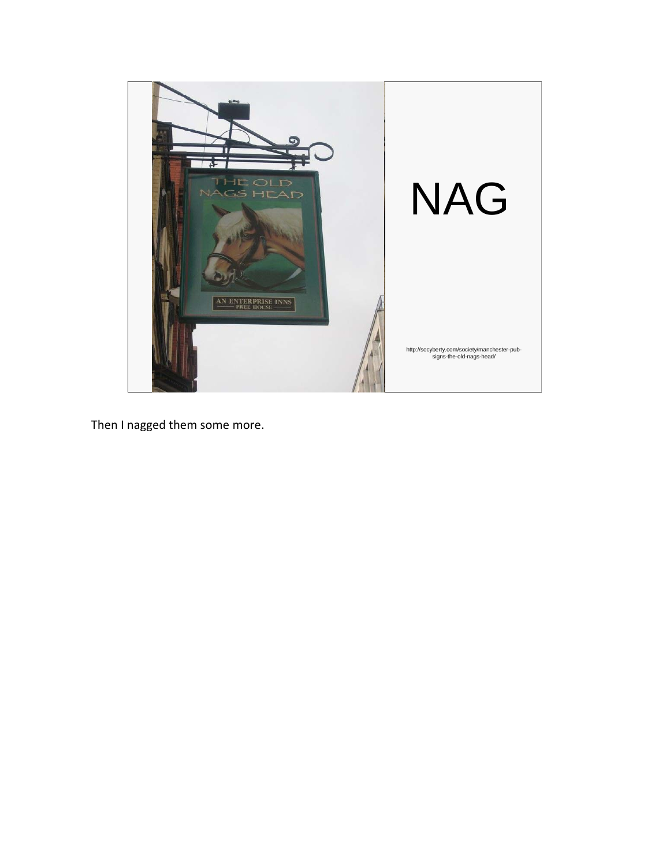

Then I nagged them some more.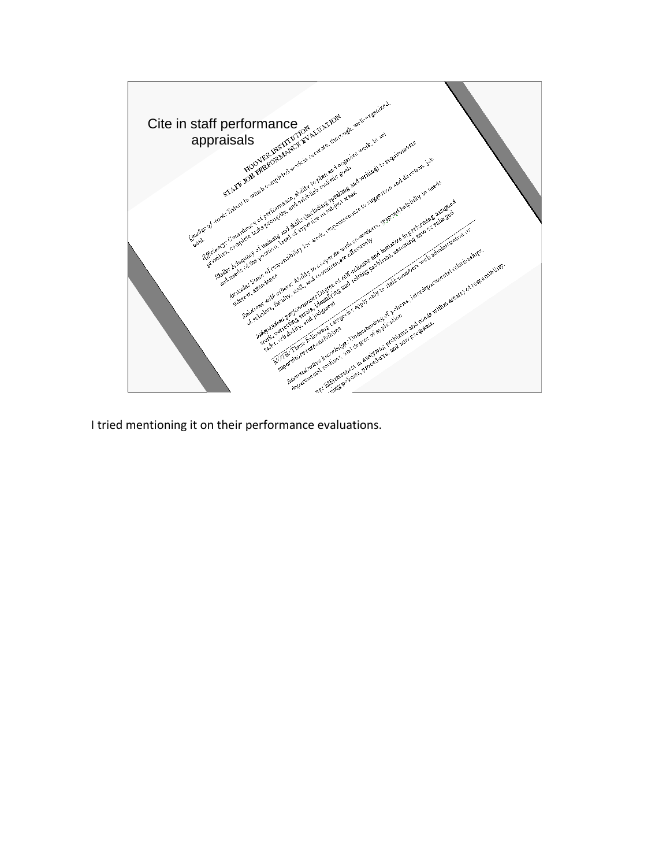

I tried mentioning it on their performance evaluations.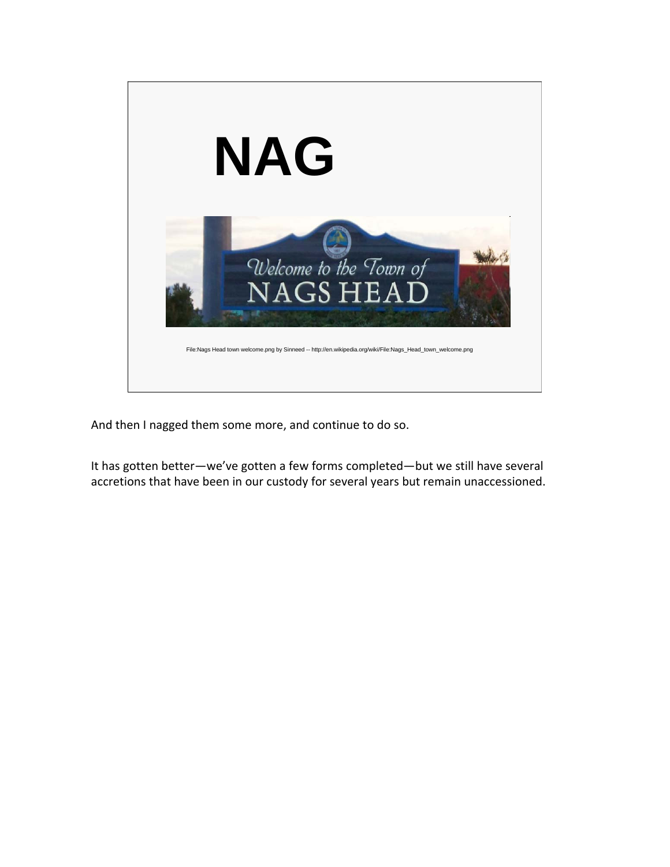

And then I nagged them some more, and continue to do so.

It has gotten better—we've gotten a few forms completed—but we still have several accretions that have been in our custody for several years but remain unaccessioned.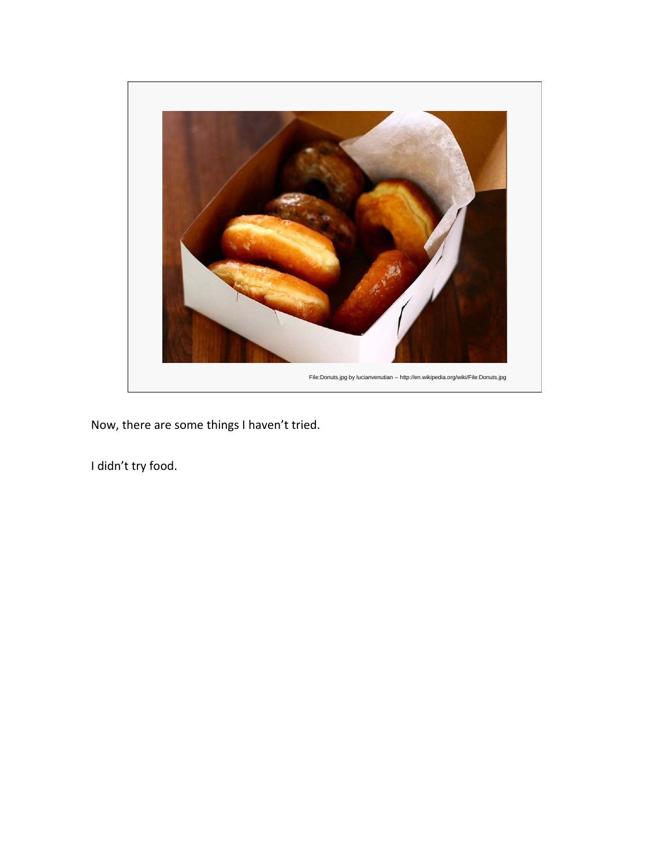

Now, there are some things I haven't tried.

I didn't try food.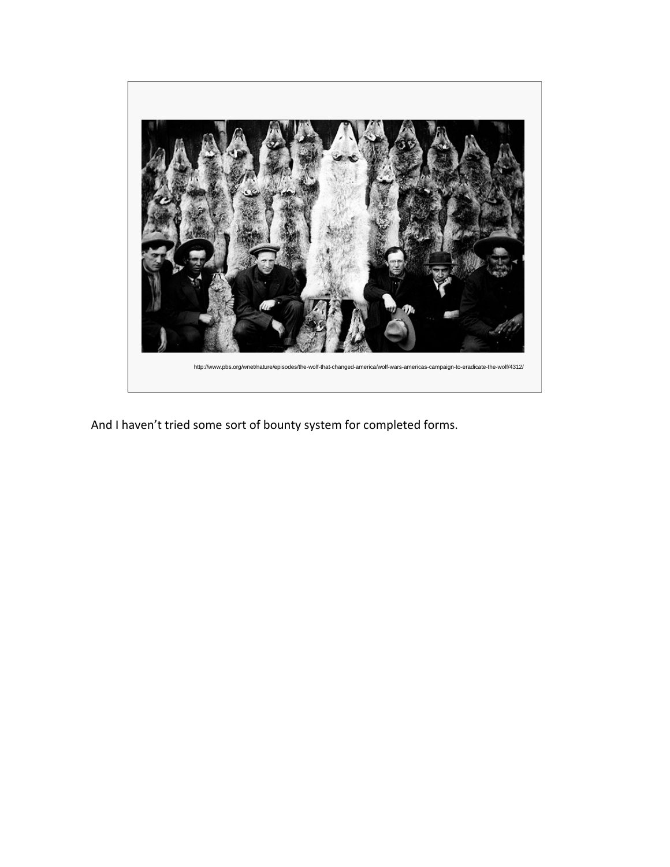

And I haven't tried some sort of bounty system for completed forms.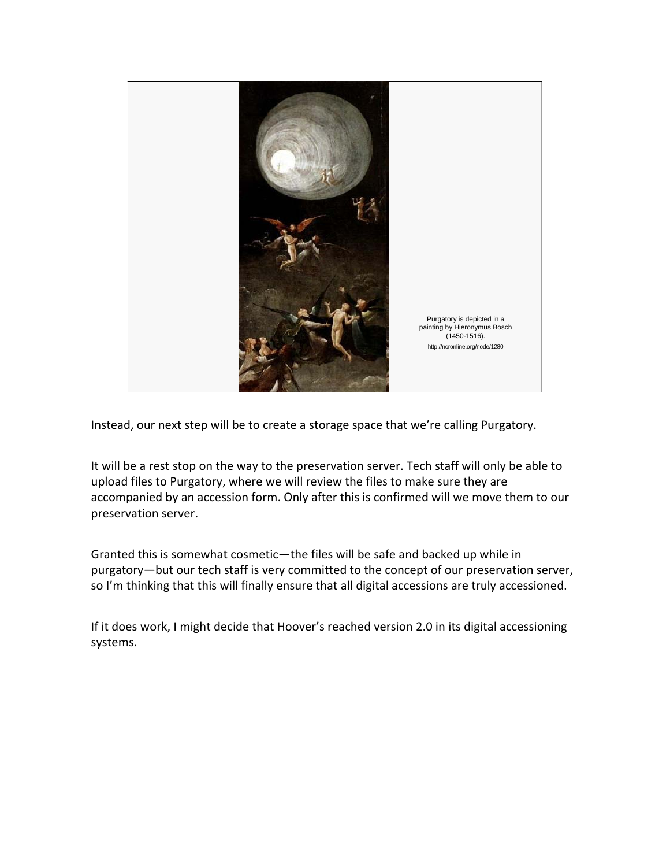

Instead, our next step will be to create a storage space that we're calling Purgatory.

It will be a rest stop on the way to the preservation server. Tech staff will only be able to upload files to Purgatory, where we will review the files to make sure they are accompanied by an accession form. Only after this is confirmed will we move them to our preservation server.

Granted this is somewhat cosmetic—the files will be safe and backed up while in purgatory—but our tech staff is very committed to the concept of our preservation server, so I'm thinking that this will finally ensure that all digital accessions are truly accessioned.

If it does work, I might decide that Hoover's reached version 2.0 in its digital accessioning systems.